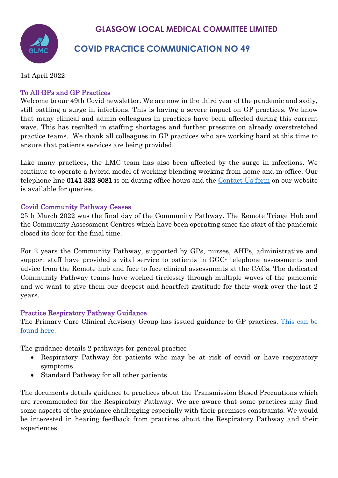## **GLASGOW LOCAL MEDICAL COMMITTEE LIMITED**



## **COVID PRACTICE COMMUNICATION NO 49**

1st April 2022

## To All GPs and GP Practices

Welcome to our 49th Covid newsletter. We are now in the third year of the pandemic and sadly, still battling a surge in infections. This is having a severe impact on GP practices. We know that many clinical and admin colleagues in practices have been affected during this current wave. This has resulted in staffing shortages and further pressure on already overstretched practice teams. We thank all colleagues in GP practices who are working hard at this time to ensure that patients services are being provided.

Like many practices, the LMC team has also been affected by the surge in infections. We continue to operate a hybrid model of working blending working from home and in-office. Our telephone line 0141 332 8081 is on during office hours and the [Contact Us form](https://www.glasgowlmc.co.uk/contact-us/) on our website is available for queries.

### Covid Community Pathway Ceases

25th March 2022 was the final day of the Community Pathway. The Remote Triage Hub and the Community Assessment Centres which have been operating since the start of the pandemic closed its door for the final time.

For 2 years the Community Pathway, supported by GPs, nurses, AHPs, administrative and support staff have provided a vital service to patients in GGC- telephone assessments and advice from the Remote hub and face to face clinical assessments at the CACs. The dedicated Community Pathway teams have worked tirelessly through multiple waves of the pandemic and we want to give them our deepest and heartfelt gratitude for their work over the last 2 years.

### Practice Respiratory Pathway Guidance

The Primary Care Clinical Advisory Group has issued guidance to GP practices. [This can be](https://www.glasgowlmc.co.uk/download/Links/test/2022/1_april/GPRespiratoryPath2022v4.pdf)  [found here.](https://www.glasgowlmc.co.uk/download/Links/test/2022/1_april/GPRespiratoryPath2022v4.pdf)

The guidance details 2 pathways for general practice-

- Respiratory Pathway for patients who may be at risk of covid or have respiratory symptoms
- Standard Pathway for all other patients

The documents details guidance to practices about the Transmission Based Precautions which are recommended for the Respiratory Pathway. We are aware that some practices may find some aspects of the guidance challenging especially with their premises constraints. We would be interested in hearing feedback from practices about the Respiratory Pathway and their experiences.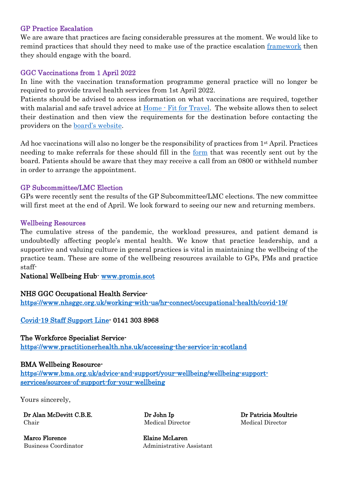#### GP Practice Escalation

We are aware that practices are facing considerable pressures at the moment. We would like to remind practices that should they need to make use of the practice escalation [framework](https://view.officeapps.live.com/op/view.aspx?src=https%3A%2F%2Fwww.glasgowlmc.co.uk%2Fdownload%2FLinks%2Ftest%2F2022%2F14_jan%2FGeneral-Practice-Escalation-December-2021-002.docx&wdOrigin=BROWSELINK) then they should engage with the board.

#### GGC Vaccinations from 1 April 2022

In line with the vaccination transformation programme general practice will no longer be required to provide travel health services from 1st April 2022.

Patients should be advised to access information on what vaccinations are required, together with malarial and safe travel advice at [Home - Fit for Travel.](https://www.fitfortravel.nhs.uk/home.aspx) The website allows then to select their destination and then view the requirements for the destination before contacting the providers on the [board's website.](https://www.nhsggc.scot/your-health/general-vaccinations/overseas-travel-vaccinations/)

Ad hoc vaccinations will also no longer be the responsibility of practices from 1<sup>st</sup> April. Practices needing to make referrals for these should fill in the [form](https://forms.office.com/r/GGAGSZg1Sz) that was recently sent out by the board. Patients should be aware that they may receive a call from an 0800 or withheld number in order to arrange the appointment.

#### GP Subcommittee/LMC Election

GPs were recently sent the results of the GP Subcommittee/LMC elections. The new committee will first meet at the end of April. We look forward to seeing our new and returning members.

#### Wellbeing Resources

The cumulative stress of the pandemic, the workload pressures, and patient demand is undoubtedly affecting people's mental health. We know that practice leadership, and a supportive and valuing culture in general practices is vital in maintaining the wellbeing of the practice team. These are some of the wellbeing resources available to GPs, PMs and practice staff-

National Wellbeing Hub- [www.promis.scot](http://www.promis.scot/)

#### NHS GGC Occupational Health Service-

<https://www.nhsggc.org.uk/working-with-us/hr-connect/occupational-health/covid-19/>

[Covid-19 Staff Support Line-](https://www.nhsggc.org.uk/media/259589/covid-staff-support-line-poster.pdf) 0141 303 8968

The Workforce Specialist Service<https://www.practitionerhealth.nhs.uk/accessing-the-service-in-scotland>

#### BMA Wellbeing Resource-

[https://www.bma.org.uk/advice-and-support/your-wellbeing/wellbeing-support](https://www.bma.org.uk/advice-and-support/your-wellbeing/wellbeing-support-services/sources-of-support-for-your-wellbeing)[services/sources-of-support-for-your-wellbeing](https://www.bma.org.uk/advice-and-support/your-wellbeing/wellbeing-support-services/sources-of-support-for-your-wellbeing) 

Yours sincerely,

Dr Alan McDevitt C.B.E. Chair

Dr John Ip Medical Director Dr Patricia Moultrie Medical Director

Marco Florence Elaine McLaren

Business Coordinator Administrative Assistant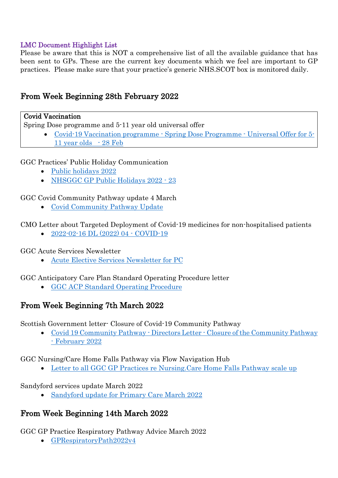## LMC Document Highlight List

Please be aware that this is NOT a comprehensive list of all the available guidance that has been sent to GPs. These are the current key documents which we feel are important to GP practices. Please make sure that your practice's generic NHS.SCOT box is monitored daily.

## From Week Beginning 28th February 2022

### Covid Vaccination

Spring Dose programme and 5-11 year old universal offer

• [Covid-19 Vaccination programme - Spring Dose Programme - Universal Offer for 5-](https://www.glasgowlmc.co.uk/download/Links/test/2022/1_april/Covid-19-Vaccination-programme-Spring-Dose-Programme-Universal-Offer-for-5-11-year-olds-28-Feb.pdf) 11 [year olds -](https://www.glasgowlmc.co.uk/download/Links/test/2022/1_april/Covid-19-Vaccination-programme-Spring-Dose-Programme-Universal-Offer-for-5-11-year-olds-28-Feb.pdf) 28 Feb

GGC Practices' Public Holiday Communication

- [Public holidays 2022](https://www.glasgowlmc.co.uk/download/Links/test/2022/1_april/Public-holidays-2022.pdf)
- [NHSGGC GP Public Holidays 2022 23](https://www.glasgowlmc.co.uk/download/Links/test/2022/1_april/NHSGGC-GP-Public-Holidays-2022-23.pdf)

GGC Covid Community Pathway update 4 March

• [Covid Community Pathway Update](https://www.glasgowlmc.co.uk/download/Links/test/2022/1_april/Covid-Community-Pathway-Update-.pdf)

CMO Letter about Targeted Deployment of Covid-19 medicines for non-hospitalised patients

• [2022-02-16 DL \(2022\) 04 - COVID-19](https://www.glasgowlmc.co.uk/download/Links/test/2022/1_april/2022-02-16-DL-2022-04-COVID-19.pdf)

GGC Acute Services Newsletter

• [Acute Elective Services Newsletter for PC](https://www.glasgowlmc.co.uk/download/Links/test/2022/1_april/Acute-Elective-Services-Newsletter-for-PC.docx)

GGC Anticipatory Care Plan Standard Operating Procedure letter

• [GGC ACP Standard Operating Procedure](https://www.glasgowlmc.co.uk/download/Links/test/2022/1_april/GGC-ACP-Standard-Operating-Procedure.docx)

# From Week Beginning 7th March 2022

Scottish Government letter- Closure of Covid-19 Community Pathway

• [Covid 19 Community Pathway - Directors Letter - Closure of the Community Pathway](https://www.glasgowlmc.co.uk/download/Links/test/2022/1_april/Covid-19-Community-Pathway-Directors-Letter-Closure-of-the-Community-Pathway-February-2022-.pdf)  [- February 2022](https://www.glasgowlmc.co.uk/download/Links/test/2022/1_april/Covid-19-Community-Pathway-Directors-Letter-Closure-of-the-Community-Pathway-February-2022-.pdf)

GGC Nursing/Care Home Falls Pathway via Flow Navigation Hub

• [Letter to all GGC GP Practices re Nursing.Care Home Falls Pathway scale up](https://www.glasgowlmc.co.uk/download/Links/test/2022/1_april/Letter-to-all-GGC-GP-Practices-re-Nursing.Care-Home-Falls-Pathway-scale-up.pdf)

### Sandyford services update March 2022

• [Sandyford update for Primary Care March 2022](https://www.glasgowlmc.co.uk/download/Links/test/2022/1_april/Sandyford-update-for-Primary-Care-March-2022.pdf)

# From Week Beginning 14th March 2022

GGC GP Practice Respiratory Pathway Advice March 2022

• [GPRespiratoryPath2022v4](https://www.glasgowlmc.co.uk/download/Links/test/2022/1_april/GPRespiratoryPath2022v4.pdf)